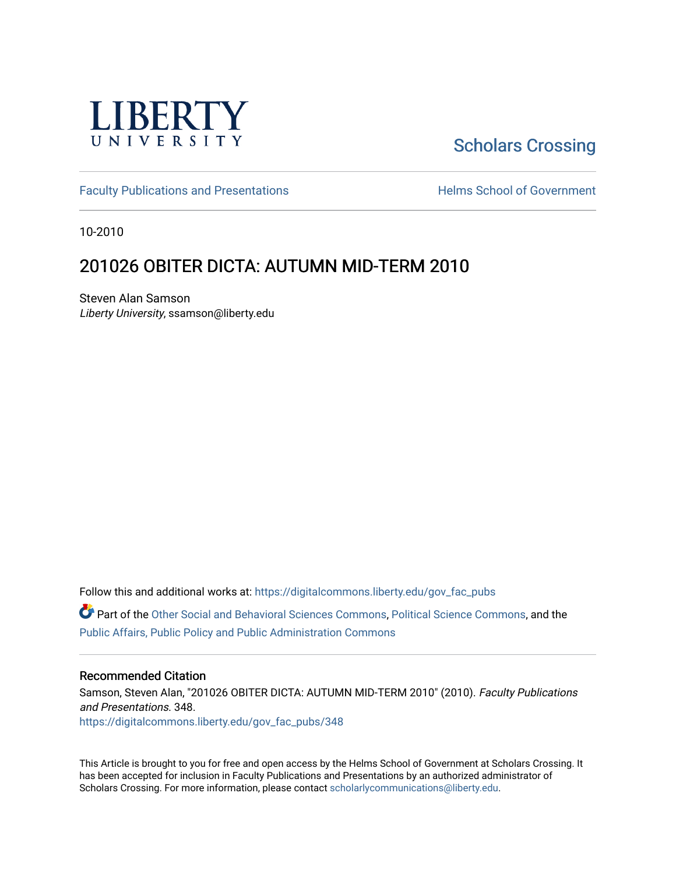

# [Scholars Crossing](https://digitalcommons.liberty.edu/)

[Faculty Publications and Presentations](https://digitalcommons.liberty.edu/gov_fac_pubs) **Exercise School of Government** 

10-2010

## 201026 OBITER DICTA: AUTUMN MID-TERM 2010

Steven Alan Samson Liberty University, ssamson@liberty.edu

Follow this and additional works at: [https://digitalcommons.liberty.edu/gov\\_fac\\_pubs](https://digitalcommons.liberty.edu/gov_fac_pubs?utm_source=digitalcommons.liberty.edu%2Fgov_fac_pubs%2F348&utm_medium=PDF&utm_campaign=PDFCoverPages)

Part of the [Other Social and Behavioral Sciences Commons](http://network.bepress.com/hgg/discipline/437?utm_source=digitalcommons.liberty.edu%2Fgov_fac_pubs%2F348&utm_medium=PDF&utm_campaign=PDFCoverPages), [Political Science Commons](http://network.bepress.com/hgg/discipline/386?utm_source=digitalcommons.liberty.edu%2Fgov_fac_pubs%2F348&utm_medium=PDF&utm_campaign=PDFCoverPages), and the [Public Affairs, Public Policy and Public Administration Commons](http://network.bepress.com/hgg/discipline/393?utm_source=digitalcommons.liberty.edu%2Fgov_fac_pubs%2F348&utm_medium=PDF&utm_campaign=PDFCoverPages)

#### Recommended Citation

Samson, Steven Alan, "201026 OBITER DICTA: AUTUMN MID-TERM 2010" (2010). Faculty Publications and Presentations. 348.

[https://digitalcommons.liberty.edu/gov\\_fac\\_pubs/348](https://digitalcommons.liberty.edu/gov_fac_pubs/348?utm_source=digitalcommons.liberty.edu%2Fgov_fac_pubs%2F348&utm_medium=PDF&utm_campaign=PDFCoverPages)

This Article is brought to you for free and open access by the Helms School of Government at Scholars Crossing. It has been accepted for inclusion in Faculty Publications and Presentations by an authorized administrator of Scholars Crossing. For more information, please contact [scholarlycommunications@liberty.edu.](mailto:scholarlycommunications@liberty.edu)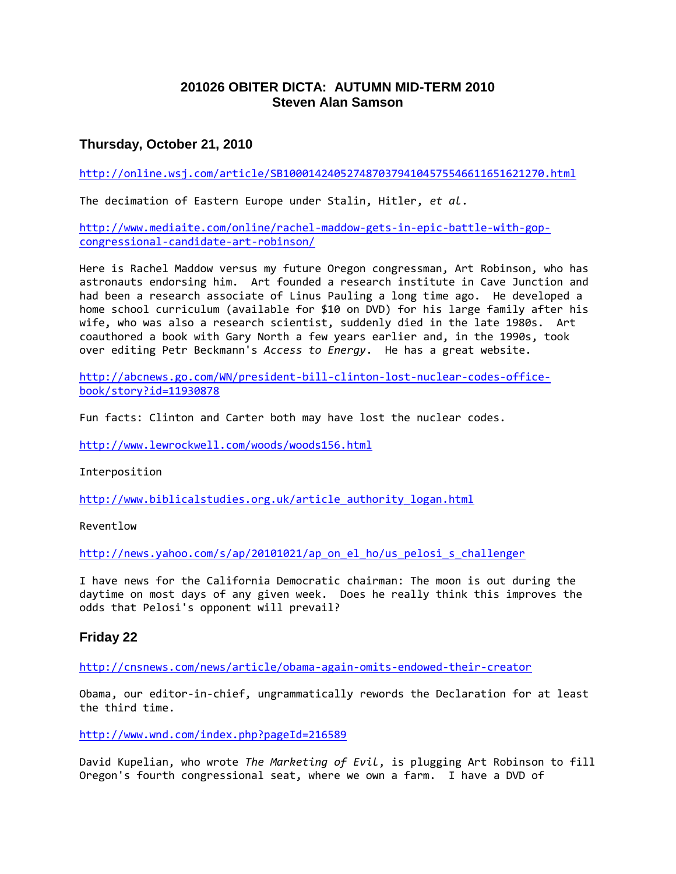## **201026 OBITER DICTA: AUTUMN MID-TERM 2010 Steven Alan Samson**

## **Thursday, October 21, 2010**

<http://online.wsj.com/article/SB10001424052748703794104575546611651621270.html>

The decimation of Eastern Europe under Stalin, Hitler, *et al*.

[http://www.mediaite.com/online/rachel-maddow-gets-in-epic-battle-with-gop](http://www.mediaite.com/online/rachel-maddow-gets-in-epic-battle-with-gop-congressional-candidate-art-robinson/)[congressional-candidate-art-robinson/](http://www.mediaite.com/online/rachel-maddow-gets-in-epic-battle-with-gop-congressional-candidate-art-robinson/)

Here is Rachel Maddow versus my future Oregon congressman, Art Robinson, who has astronauts endorsing him. Art founded a research institute in Cave Junction and had been a research associate of Linus Pauling a long time ago. He developed a home school curriculum (available for \$10 on DVD) for his large family after his wife, who was also a research scientist, suddenly died in the late 1980s. Art coauthored a book with Gary North a few years earlier and, in the 1990s, took over editing Petr Beckmann's *Access to Energy*. He has a great website.

[http://abcnews.go.com/WN/president-bill-clinton-lost-nuclear-codes-office](http://abcnews.go.com/WN/president-bill-clinton-lost-nuclear-codes-office-book/story?id=11930878)[book/story?id=11930878](http://abcnews.go.com/WN/president-bill-clinton-lost-nuclear-codes-office-book/story?id=11930878)

Fun facts: Clinton and Carter both may have lost the nuclear codes.

<http://www.lewrockwell.com/woods/woods156.html>

#### Interposition

[http://www.biblicalstudies.org.uk/article\\_authority\\_logan.html](http://www.biblicalstudies.org.uk/article_authority_logan.html)

Reventlow

[http://news.yahoo.com/s/ap/20101021/ap\\_on\\_el\\_ho/us\\_pelosi\\_s\\_challenger](http://news.yahoo.com/s/ap/20101021/ap_on_el_ho/us_pelosi_s_challenger)

I have news for the California Democratic chairman: The moon is out during the daytime on most days of any given week. Does he really think this improves the odds that Pelosi's opponent will prevail?

#### **Friday 22**

<http://cnsnews.com/news/article/obama-again-omits-endowed-their-creator>

Obama, our editor-in-chief, ungrammatically rewords the Declaration for at least the third time.

<http://www.wnd.com/index.php?pageId=216589>

David Kupelian, who wrote *The Marketing of Evil*, is plugging Art Robinson to fill Oregon's fourth congressional seat, where we own a farm. I have a DVD of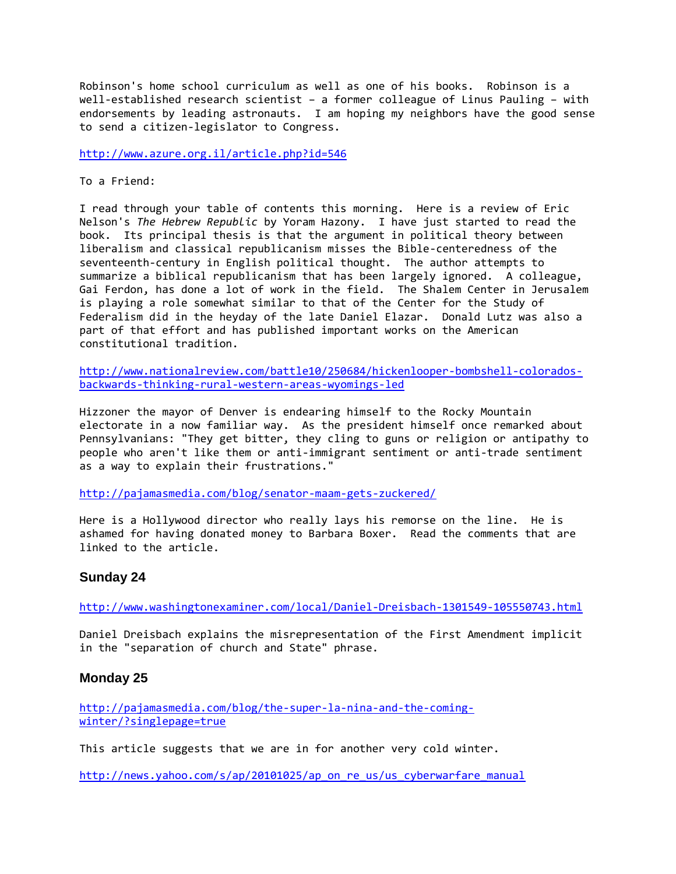Robinson's home school curriculum as well as one of his books. Robinson is a well-established research scientist – a former colleague of Linus Pauling – with endorsements by leading astronauts. I am hoping my neighbors have the good sense to send a citizen-legislator to Congress.

<http://www.azure.org.il/article.php?id=546>

To a Friend:

I read through your table of contents this morning. Here is a review of Eric Nelson's *The Hebrew Republic* by Yoram Hazony. I have just started to read the book. Its principal thesis is that the argument in political theory between liberalism and classical republicanism misses the Bible-centeredness of the seventeenth-century in English political thought. The author attempts to summarize a biblical republicanism that has been largely ignored. A colleague, Gai Ferdon, has done a lot of work in the field. The Shalem Center in Jerusalem is playing a role somewhat similar to that of the Center for the Study of Federalism did in the heyday of the late Daniel Elazar. Donald Lutz was also a part of that effort and has published important works on the American constitutional tradition.

[http://www.nationalreview.com/battle10/250684/hickenlooper-bombshell-colorados](http://www.nationalreview.com/battle10/250684/hickenlooper-bombshell-colorados-backwards-thinking-rural-western-areas-wyomings-led)[backwards-thinking-rural-western-areas-wyomings-led](http://www.nationalreview.com/battle10/250684/hickenlooper-bombshell-colorados-backwards-thinking-rural-western-areas-wyomings-led)

Hizzoner the mayor of Denver is endearing himself to the Rocky Mountain electorate in a now familiar way. As the president himself once remarked about Pennsylvanians: "They get bitter, they cling to guns or religion or antipathy to people who aren't like them or anti-immigrant sentiment or anti-trade sentiment as a way to explain their frustrations."

<http://pajamasmedia.com/blog/senator-maam-gets-zuckered/>

Here is a Hollywood director who really lays his remorse on the line. He is ashamed for having donated money to Barbara Boxer. Read the comments that are linked to the article.

## **Sunday 24**

<http://www.washingtonexaminer.com/local/Daniel-Dreisbach-1301549-105550743.html>

Daniel Dreisbach explains the misrepresentation of the First Amendment implicit in the "separation of church and State" phrase.

#### **Monday 25**

[http://pajamasmedia.com/blog/the-super-la-nina-and-the-coming](http://pajamasmedia.com/blog/the-super-la-nina-and-the-coming-winter/?singlepage=true)[winter/?singlepage=true](http://pajamasmedia.com/blog/the-super-la-nina-and-the-coming-winter/?singlepage=true)

This article suggests that we are in for another very cold winter.

[http://news.yahoo.com/s/ap/20101025/ap\\_on\\_re\\_us/us\\_cyberwarfare\\_manual](http://news.yahoo.com/s/ap/20101025/ap_on_re_us/us_cyberwarfare_manual)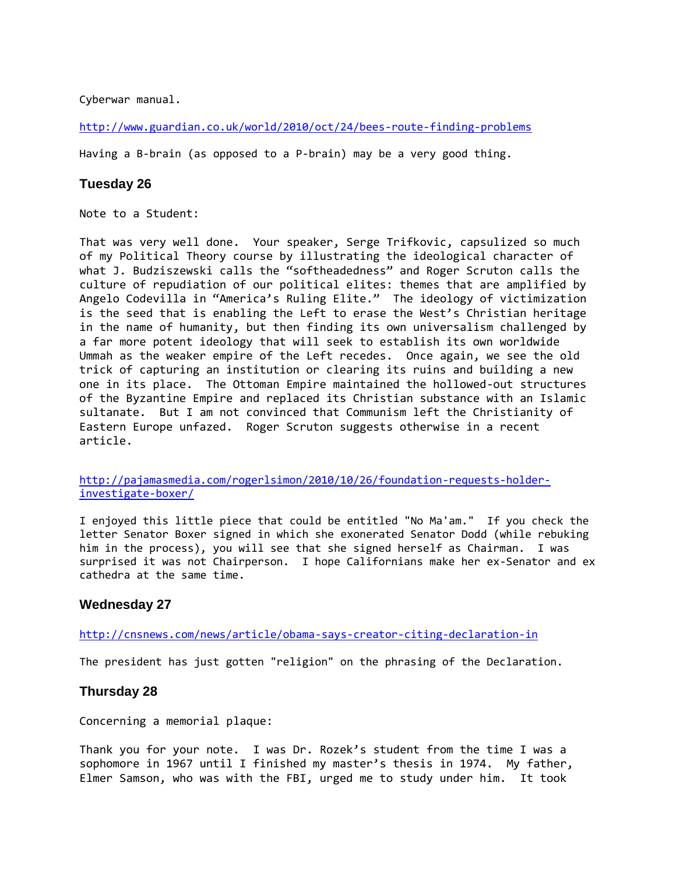Cyberwar manual.

<http://www.guardian.co.uk/world/2010/oct/24/bees-route-finding-problems>

Having a B-brain (as opposed to a P-brain) may be a very good thing.

#### **Tuesday 26**

Note to a Student:

That was very well done. Your speaker, Serge Trifkovic, capsulized so much of my Political Theory course by illustrating the ideological character of what J. Budziszewski calls the "softheadedness" and Roger Scruton calls the culture of repudiation of our political elites: themes that are amplified by Angelo Codevilla in "America's Ruling Elite." The ideology of victimization is the seed that is enabling the Left to erase the West's Christian heritage in the name of humanity, but then finding its own universalism challenged by a far more potent ideology that will seek to establish its own worldwide Ummah as the weaker empire of the Left recedes. Once again, we see the old trick of capturing an institution or clearing its ruins and building a new one in its place. The Ottoman Empire maintained the hollowed-out structures of the Byzantine Empire and replaced its Christian substance with an Islamic sultanate. But I am not convinced that Communism left the Christianity of Eastern Europe unfazed. Roger Scruton suggests otherwise in a recent article.

[http://pajamasmedia.com/rogerlsimon/2010/10/26/foundation-requests-holder](http://pajamasmedia.com/rogerlsimon/2010/10/26/foundation-requests-holder-investigate-boxer/)[investigate-boxer/](http://pajamasmedia.com/rogerlsimon/2010/10/26/foundation-requests-holder-investigate-boxer/)

I enjoyed this little piece that could be entitled "No Ma'am." If you check the letter Senator Boxer signed in which she exonerated Senator Dodd (while rebuking him in the process), you will see that she signed herself as Chairman. I was surprised it was not Chairperson. I hope Californians make her ex-Senator and ex cathedra at the same time.

#### **Wednesday 27**

<http://cnsnews.com/news/article/obama-says-creator-citing-declaration-in>

The president has just gotten "religion" on the phrasing of the Declaration.

#### **Thursday 28**

Concerning a memorial plaque:

Thank you for your note. I was Dr. Rozek's student from the time I was a sophomore in 1967 until I finished my master's thesis in 1974. My father, Elmer Samson, who was with the FBI, urged me to study under him. It took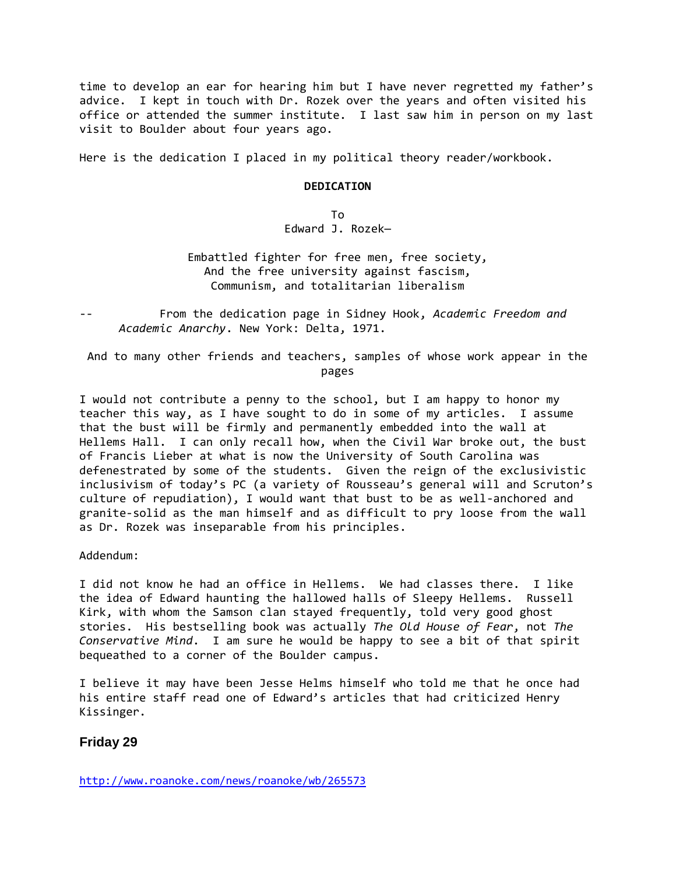time to develop an ear for hearing him but I have never regretted my father's advice. I kept in touch with Dr. Rozek over the years and often visited his office or attended the summer institute. I last saw him in person on my last visit to Boulder about four years ago.

Here is the dedication I placed in my political theory reader/workbook.

#### **DEDICATION**

To Edward J. Rozek—

Embattled fighter for free men, free society, And the free university against fascism, Communism, and totalitarian liberalism

-- From the dedication page in Sidney Hook, *Academic Freedom and Academic Anarchy*. New York: Delta, 1971.

And to many other friends and teachers, samples of whose work appear in the pages

I would not contribute a penny to the school, but I am happy to honor my teacher this way, as I have sought to do in some of my articles. I assume that the bust will be firmly and permanently embedded into the wall at Hellems Hall. I can only recall how, when the Civil War broke out, the bust of Francis Lieber at what is now the University of South Carolina was defenestrated by some of the students. Given the reign of the exclusivistic inclusivism of today's PC (a variety of Rousseau's general will and Scruton's culture of repudiation), I would want that bust to be as well-anchored and granite-solid as the man himself and as difficult to pry loose from the wall as Dr. Rozek was inseparable from his principles.

Addendum:

I did not know he had an office in Hellems. We had classes there. I like the idea of Edward haunting the hallowed halls of Sleepy Hellems. Russell Kirk, with whom the Samson clan stayed frequently, told very good ghost stories. His bestselling book was actually *The Old House of Fear*, not *The Conservative Mind*. I am sure he would be happy to see a bit of that spirit bequeathed to a corner of the Boulder campus.

I believe it may have been Jesse Helms himself who told me that he once had his entire staff read one of Edward's articles that had criticized Henry Kissinger.

#### **Friday 29**

<http://www.roanoke.com/news/roanoke/wb/265573>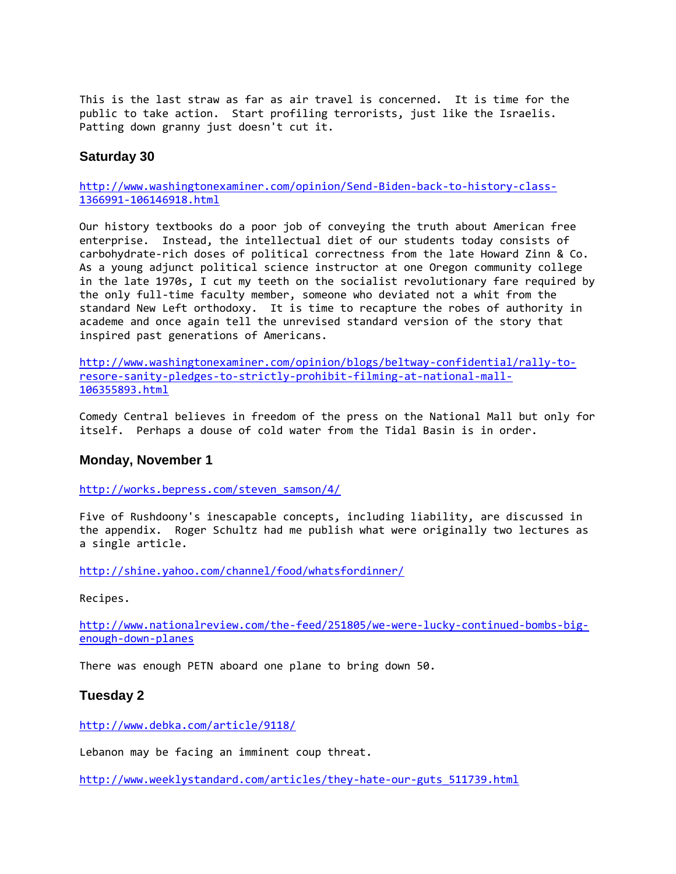This is the last straw as far as air travel is concerned. It is time for the public to take action. Start profiling terrorists, just like the Israelis. Patting down granny just doesn't cut it.

#### **Saturday 30**

[http://www.washingtonexaminer.com/opinion/Send-Biden-back-to-history-class-](http://www.washingtonexaminer.com/opinion/Send-Biden-back-to-history-class-1366991-106146918.html)[1366991-106146918.html](http://www.washingtonexaminer.com/opinion/Send-Biden-back-to-history-class-1366991-106146918.html)

Our history textbooks do a poor job of conveying the truth about American free enterprise. Instead, the intellectual diet of our students today consists of carbohydrate-rich doses of political correctness from the late Howard Zinn & Co. As a young adjunct political science instructor at one Oregon community college in the late 1970s, I cut my teeth on the socialist revolutionary fare required by the only full-time faculty member, someone who deviated not a whit from the standard New Left orthodoxy. It is time to recapture the robes of authority in academe and once again tell the unrevised standard version of the story that inspired past generations of Americans.

[http://www.washingtonexaminer.com/opinion/blogs/beltway-confidential/rally-to](http://www.washingtonexaminer.com/opinion/blogs/beltway-confidential/rally-to-resore-sanity-pledges-to-strictly-prohibit-filming-at-national-mall-106355893.html)[resore-sanity-pledges-to-strictly-prohibit-filming-at-national-mall-](http://www.washingtonexaminer.com/opinion/blogs/beltway-confidential/rally-to-resore-sanity-pledges-to-strictly-prohibit-filming-at-national-mall-106355893.html)[106355893.html](http://www.washingtonexaminer.com/opinion/blogs/beltway-confidential/rally-to-resore-sanity-pledges-to-strictly-prohibit-filming-at-national-mall-106355893.html)

Comedy Central believes in freedom of the press on the National Mall but only for itself. Perhaps a douse of cold water from the Tidal Basin is in order.

#### **Monday, November 1**

[http://works.bepress.com/steven\\_samson/4/](http://works.bepress.com/steven_samson/4/)

Five of Rushdoony's inescapable concepts, including liability, are discussed in the appendix. Roger Schultz had me publish what were originally two lectures as a single article.

<http://shine.yahoo.com/channel/food/whatsfordinner/>

Recipes.

[http://www.nationalreview.com/the-feed/251805/we-were-lucky-continued-bombs-big](http://www.nationalreview.com/the-feed/251805/we-were-lucky-continued-bombs-big-enough-down-planes)[enough-down-planes](http://www.nationalreview.com/the-feed/251805/we-were-lucky-continued-bombs-big-enough-down-planes)

There was enough PETN aboard one plane to bring down 50.

#### **Tuesday 2**

<http://www.debka.com/article/9118/>

Lebanon may be facing an imminent coup threat.

[http://www.weeklystandard.com/articles/they-hate-our-guts\\_511739.html](http://www.weeklystandard.com/articles/they-hate-our-guts_511739.html)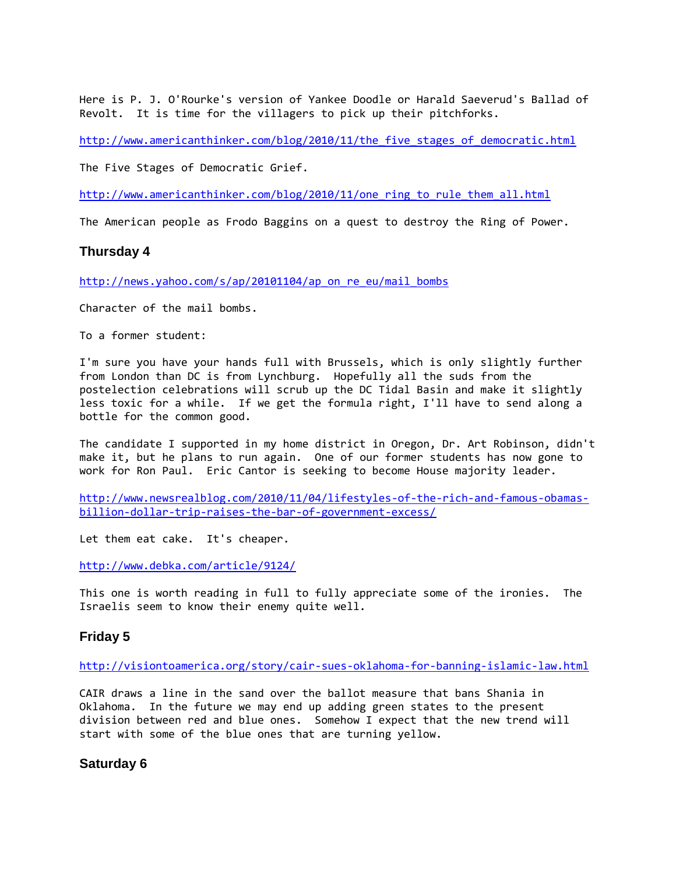Here is P. J. O'Rourke's version of Yankee Doodle or Harald Saeverud's Ballad of Revolt. It is time for the villagers to pick up their pitchforks.

http://www.americanthinker.com/blog/2010/11/the five stages of democratic.html

The Five Stages of Democratic Grief.

[http://www.americanthinker.com/blog/2010/11/one\\_ring\\_to\\_rule\\_them\\_all.html](http://www.americanthinker.com/blog/2010/11/one_ring_to_rule_them_all.html)

The American people as Frodo Baggins on a quest to destroy the Ring of Power.

#### **Thursday 4**

[http://news.yahoo.com/s/ap/20101104/ap\\_on\\_re\\_eu/mail\\_bombs](http://news.yahoo.com/s/ap/20101104/ap_on_re_eu/mail_bombs)

Character of the mail bombs.

To a former student:

I'm sure you have your hands full with Brussels, which is only slightly further from London than DC is from Lynchburg. Hopefully all the suds from the postelection celebrations will scrub up the DC Tidal Basin and make it slightly less toxic for a while. If we get the formula right, I'll have to send along a bottle for the common good.

The candidate I supported in my home district in Oregon, Dr. Art Robinson, didn't make it, but he plans to run again. One of our former students has now gone to work for Ron Paul. Eric Cantor is seeking to become House majority leader.

[http://www.newsrealblog.com/2010/11/04/lifestyles-of-the-rich-and-famous-obamas](http://www.newsrealblog.com/2010/11/04/lifestyles-of-the-rich-and-famous-obamas-billion-dollar-trip-raises-the-bar-of-government-excess/)[billion-dollar-trip-raises-the-bar-of-government-excess/](http://www.newsrealblog.com/2010/11/04/lifestyles-of-the-rich-and-famous-obamas-billion-dollar-trip-raises-the-bar-of-government-excess/)

Let them eat cake. It's cheaper.

<http://www.debka.com/article/9124/>

This one is worth reading in full to fully appreciate some of the ironies. The Israelis seem to know their enemy quite well.

#### **Friday 5**

<http://visiontoamerica.org/story/cair-sues-oklahoma-for-banning-islamic-law.html>

CAIR draws a line in the sand over the ballot measure that bans Shania in Oklahoma. In the future we may end up adding green states to the present division between red and blue ones. Somehow I expect that the new trend will start with some of the blue ones that are turning yellow.

#### **Saturday 6**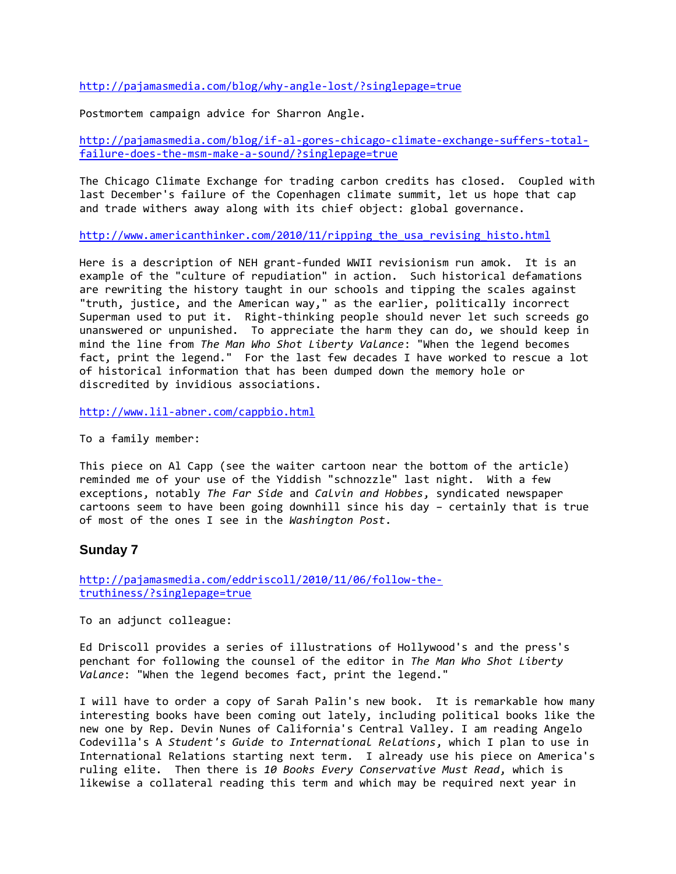<http://pajamasmedia.com/blog/why-angle-lost/?singlepage=true>

Postmortem campaign advice for Sharron Angle.

[http://pajamasmedia.com/blog/if-al-gores-chicago-climate-exchange-suffers-total](http://pajamasmedia.com/blog/if-al-gores-chicago-climate-exchange-suffers-total-failure-does-the-msm-make-a-sound/?singlepage=true)[failure-does-the-msm-make-a-sound/?singlepage=true](http://pajamasmedia.com/blog/if-al-gores-chicago-climate-exchange-suffers-total-failure-does-the-msm-make-a-sound/?singlepage=true)

The Chicago Climate Exchange for trading carbon credits has closed. Coupled with last December's failure of the Copenhagen climate summit, let us hope that cap and trade withers away along with its chief object: global governance.

[http://www.americanthinker.com/2010/11/ripping\\_the\\_usa\\_revising\\_histo.html](http://www.americanthinker.com/2010/11/ripping_the_usa_revising_histo.html)

Here is a description of NEH grant-funded WWII revisionism run amok. It is an example of the "culture of repudiation" in action. Such historical defamations are rewriting the history taught in our schools and tipping the scales against "truth, justice, and the American way," as the earlier, politically incorrect Superman used to put it. Right-thinking people should never let such screeds go unanswered or unpunished. To appreciate the harm they can do, we should keep in mind the line from *The Man Who Shot Liberty Valance*: "When the legend becomes fact, print the legend." For the last few decades I have worked to rescue a lot of historical information that has been dumped down the memory hole or discredited by invidious associations.

<http://www.lil-abner.com/cappbio.html>

To a family member:

This piece on Al Capp (see the waiter cartoon near the bottom of the article) reminded me of your use of the Yiddish "schnozzle" last night. With a few exceptions, notably *The Far Side* and *Calvin and Hobbes*, syndicated newspaper cartoons seem to have been going downhill since his day – certainly that is true of most of the ones I see in the *Washington Post*.

#### **Sunday 7**

[http://pajamasmedia.com/eddriscoll/2010/11/06/follow-the](http://pajamasmedia.com/eddriscoll/2010/11/06/follow-the-truthiness/?singlepage=true)[truthiness/?singlepage=true](http://pajamasmedia.com/eddriscoll/2010/11/06/follow-the-truthiness/?singlepage=true)

To an adjunct colleague:

Ed Driscoll provides a series of illustrations of Hollywood's and the press's penchant for following the counsel of the editor in *The Man Who Shot Liberty Valance*: "When the legend becomes fact, print the legend."

I will have to order a copy of Sarah Palin's new book. It is remarkable how many interesting books have been coming out lately, including political books like the new one by Rep. Devin Nunes of California's Central Valley. I am reading Angelo Codevilla's A *Student's Guide to International Relations*, which I plan to use in International Relations starting next term. I already use his piece on America's ruling elite. Then there is *10 Books Every Conservative Must Read*, which is likewise a collateral reading this term and which may be required next year in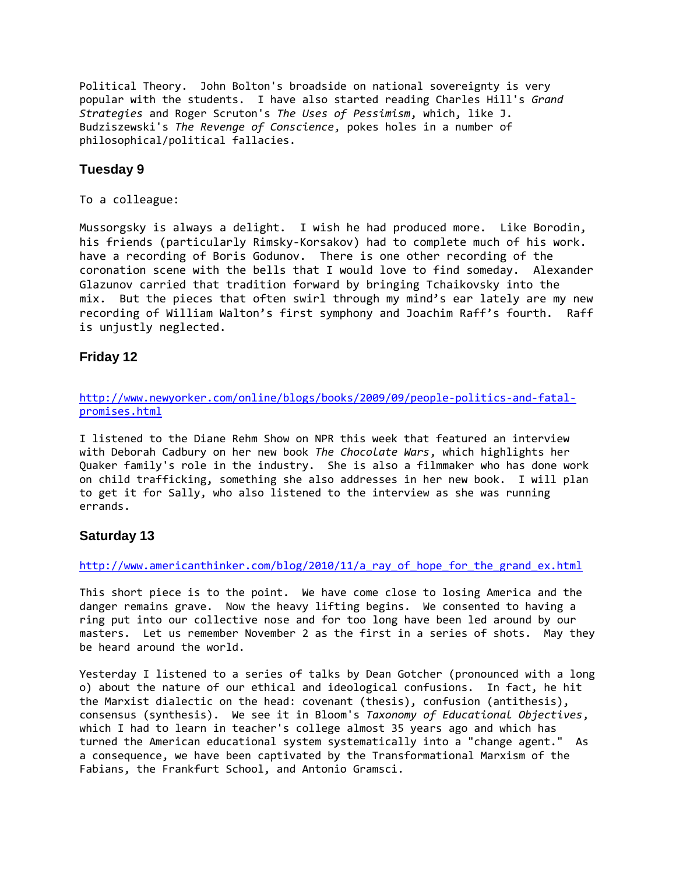Political Theory. John Bolton's broadside on national sovereignty is very popular with the students. I have also started reading Charles Hill's *Grand Strategies* and Roger Scruton's *The Uses of Pessimism*, which, like J. Budziszewski's *The Revenge of Conscience*, pokes holes in a number of philosophical/political fallacies.

#### **Tuesday 9**

To a colleague:

Mussorgsky is always a delight. I wish he had produced more. Like Borodin, his friends (particularly Rimsky-Korsakov) had to complete much of his work. have a recording of Boris Godunov. There is one other recording of the coronation scene with the bells that I would love to find someday. Alexander Glazunov carried that tradition forward by bringing Tchaikovsky into the mix. But the pieces that often swirl through my mind's ear lately are my new recording of William Walton's first symphony and Joachim Raff's fourth. Raff is unjustly neglected.

## **Friday 12**

[http://www.newyorker.com/online/blogs/books/2009/09/people-politics-and-fatal](http://www.newyorker.com/online/blogs/books/2009/09/people-politics-and-fatal-promises.html)[promises.html](http://www.newyorker.com/online/blogs/books/2009/09/people-politics-and-fatal-promises.html)

I listened to the Diane Rehm Show on NPR this week that featured an interview with Deborah Cadbury on her new book *The Chocolate Wars*, which highlights her Quaker family's role in the industry. She is also a filmmaker who has done work on child trafficking, something she also addresses in her new book. I will plan to get it for Sally, who also listened to the interview as she was running errands.

## **Saturday 13**

[http://www.americanthinker.com/blog/2010/11/a\\_ray\\_of\\_hope\\_for\\_the\\_grand\\_ex.html](http://www.americanthinker.com/blog/2010/11/a_ray_of_hope_for_the_grand_ex.html)

This short piece is to the point. We have come close to losing America and the danger remains grave. Now the heavy lifting begins. We consented to having a ring put into our collective nose and for too long have been led around by our masters. Let us remember November 2 as the first in a series of shots. May they be heard around the world.

Yesterday I listened to a series of talks by Dean Gotcher (pronounced with a long o) about the nature of our ethical and ideological confusions. In fact, he hit the Marxist dialectic on the head: covenant (thesis), confusion (antithesis), consensus (synthesis). We see it in Bloom's *Taxonomy of Educational Objectives*, which I had to learn in teacher's college almost 35 years ago and which has turned the American educational system systematically into a "change agent." As a consequence, we have been captivated by the Transformational Marxism of the Fabians, the Frankfurt School, and Antonio Gramsci.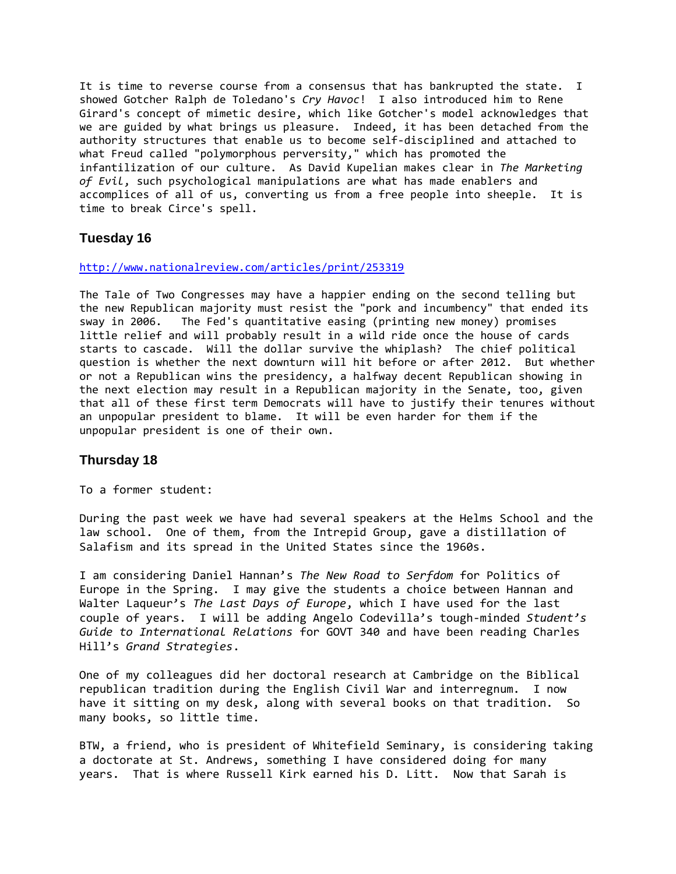It is time to reverse course from a consensus that has bankrupted the state. I showed Gotcher Ralph de Toledano's *Cry Havoc*! I also introduced him to Rene Girard's concept of mimetic desire, which like Gotcher's model acknowledges that we are guided by what brings us pleasure. Indeed, it has been detached from the authority structures that enable us to become self-disciplined and attached to what Freud called "polymorphous perversity," which has promoted the infantilization of our culture. As David Kupelian makes clear in *The Marketing of Evil*, such psychological manipulations are what has made enablers and accomplices of all of us, converting us from a free people into sheeple. It is time to break Circe's spell.

#### **Tuesday 16**

#### <http://www.nationalreview.com/articles/print/253319>

The Tale of Two Congresses may have a happier ending on the second telling but the new Republican majority must resist the "pork and incumbency" that ended its sway in 2006. The Fed's quantitative easing (printing new money) promises little relief and will probably result in a wild ride once the house of cards starts to cascade. Will the dollar survive the whiplash? The chief political question is whether the next downturn will hit before or after 2012. But whether or not a Republican wins the presidency, a halfway decent Republican showing in the next election may result in a Republican majority in the Senate, too, given that all of these first term Democrats will have to justify their tenures without an unpopular president to blame. It will be even harder for them if the unpopular president is one of their own.

#### **Thursday 18**

To a former student:

During the past week we have had several speakers at the Helms School and the law school. One of them, from the Intrepid Group, gave a distillation of Salafism and its spread in the United States since the 1960s.

I am considering Daniel Hannan's *The New Road to Serfdom* for Politics of Europe in the Spring. I may give the students a choice between Hannan and Walter Laqueur's *The Last Days of Europe*, which I have used for the last couple of years. I will be adding Angelo Codevilla's tough-minded *Student's Guide to International Relations* for GOVT 340 and have been reading Charles Hill's *Grand Strategies*.

One of my colleagues did her doctoral research at Cambridge on the Biblical republican tradition during the English Civil War and interregnum. I now have it sitting on my desk, along with several books on that tradition. So many books, so little time.

BTW, a friend, who is president of Whitefield Seminary, is considering taking a doctorate at St. Andrews, something I have considered doing for many years. That is where Russell Kirk earned his D. Litt. Now that Sarah is